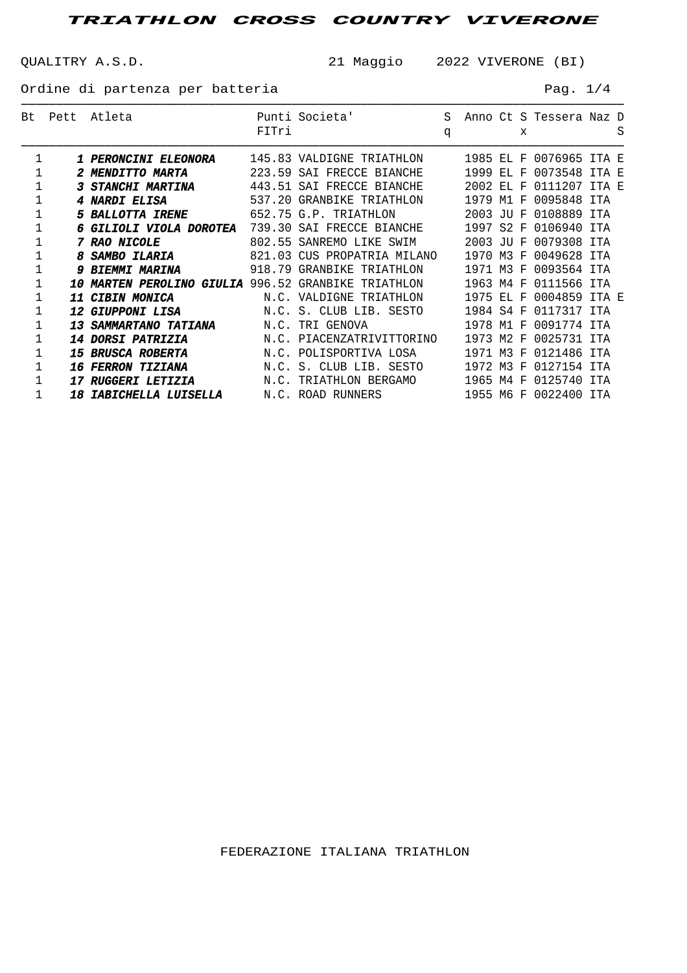QUALITRY A.S.D. 21 Maggio 2022 VIVERONE (BI)

───────────────────────────────────────────────────────────────────────────────────────

Ordine di partenza per batteria en el pago de Pag. 1/4

| Bt | Pett | Atleta                               | FITri  | Punti Societa'               | S.<br>q |           |      | x   | Anno Ct S Tessera Naz D |        | S |
|----|------|--------------------------------------|--------|------------------------------|---------|-----------|------|-----|-------------------------|--------|---|
|    |      | <i>1 PERONCINI ELEONORA</i>          | 145.83 | VALDIGNE TRIATHLON           |         | 1985      | ET.  | F   | 0076965 ITA E           |        |   |
|    |      | <b>MENDITTO MARTA</b>                | 223.59 | SAI FRECCE BIANCHE           |         | 1999      | ET.  | F   | 0073548                 | TTA E  |   |
|    |      | <b>STANCHI MARTINA</b>               | 443.51 | SAI FRECCE BIANCHE           |         | 2002      | ET.  | F   | 0111207                 | TTA F. |   |
|    |      | 4 NARDI ELISA                        | 537.20 | GRANBIKE TRIATHLON           |         | 1979 M1   |      | F   | 0095848                 | TTA    |   |
|    |      | <b>5 BALLOTTA IRENE</b>              |        | 652.75 G.P. TRIATHLON        |         | 2003      | TU.  | F   | 0108889 ITA             |        |   |
|    |      | GILIOLI VIOLA DOROTEA                | 739.30 | SAI FRECCE BIANCHE           |         | 1997      | S 2. | F   | 0106940                 | TTA    |   |
|    |      | <b>RAO NICOLE</b>                    | 802.55 | SANREMO LIKE SWIM            |         | 2003      | TTT. | F   | 0079308                 | TTA    |   |
|    |      | <b>SAMBO ILARIA</b>                  | 821.03 | CUS PROPATRIA MILANO         |         | 1970 M3   |      | F   | 0049628 ITA             |        |   |
|    |      | <b>9 BIEMMI MARINA</b>               | 918.79 | GRANBIKE TRIATHLON           |         | 1971 M3   |      | - F | 0093564 ITA             |        |   |
|    | 10   | <b>MARTEN PEROLINO GIULIA 996.52</b> |        | <b>GRANBIKE</b><br>TRIATHION |         | 1963 M4   |      | F   | 0111566                 | TTA    |   |
|    | 11   | <b>CIBIN MONICA</b>                  |        | N.C. VALDIGNE TRIATHLON      |         | 1975      | ET.  | F   | 0004859 ITA E           |        |   |
|    |      | <i><b>12 GIUPPONI LISA</b></i>       |        | N.C. S. CLUB LIB. SESTO      |         | 1984 S4   |      | F   | 0117317                 | TTA    |   |
|    |      | <b>13 SAMMARTANO TATIANA</b>         |        | N.C. TRI GENOVA              |         | 1978 M1 F |      |     | 0091774                 | TTA    |   |
|    |      | <i><b>14 DORSI PATRIZIA</b></i>      |        | N.C. PIACENZATRIVITTORINO    |         | 1973      | M2   | F   | 0025731 ITA             |        |   |
|    |      | <i><b>15 BRUSCA ROBERTA</b></i>      |        | N.C. POLISPORTIVA LOSA       |         | 1971 M3   |      | F   | 0121486                 | TTA    |   |
|    | 16   | <b>FERRON TIZIANA</b>                | N.C.   | S. CLUB LIB. SESTO           |         | 1972 M3   |      | F   | 0127154                 | TTA    |   |
|    | 17   | <i><b>RUGGERI LETIZIA</b></i>        |        | N.C. TRIATHLON BERGAMO       |         | 1965 M4   |      | F   | 0125740                 | TTA    |   |
|    |      | <i><b>18 IABICHELLA LUISELLA</b></i> |        | N.C. ROAD RUNNERS            |         | 1955 M6 F |      |     | 0022400 ITA             |        |   |

FEDERAZIONE ITALIANA TRIATHLON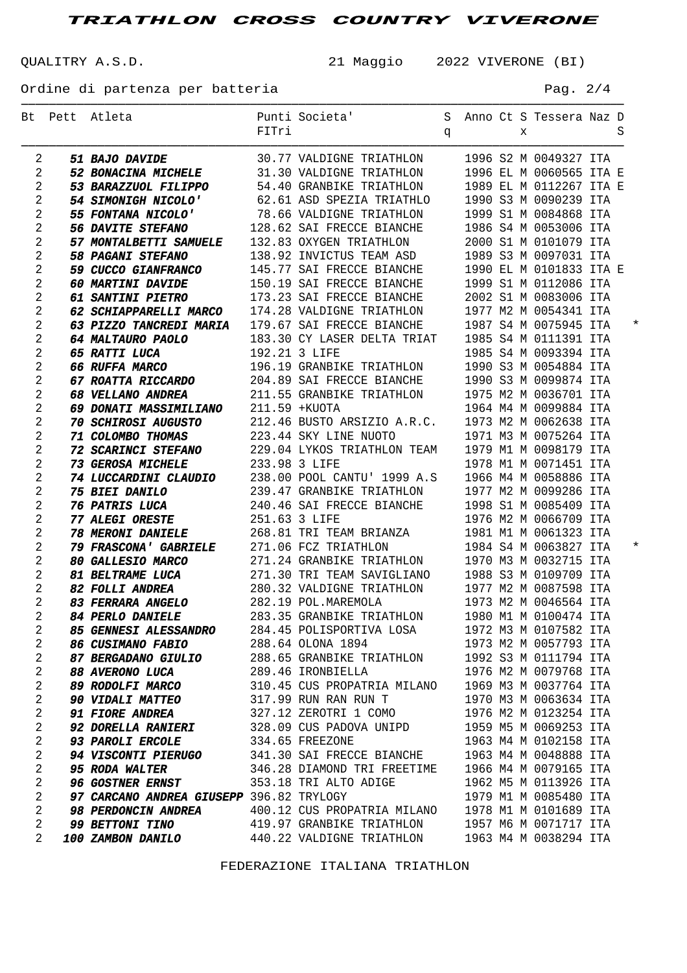QUALITRY A.S.D. 21 Maggio 2022 VIVERONE (BI)

───────────────────────────────────────────────────────────────────────────────────────

Ordine di partenza per batteria en el pago de Pag. 2/4

|                | Bt Pett Atleta                                                                                                                                                                                                  | Punti Societa'                    S  Anno Ct S Tessera Naz D<br>FITri                                   q                                   S |  |  |                         |  |          |
|----------------|-----------------------------------------------------------------------------------------------------------------------------------------------------------------------------------------------------------------|-----------------------------------------------------------------------------------------------------------------------------------------------|--|--|-------------------------|--|----------|
| 2              | 51 BAJO DAVIDE 30.77 VALDIGNE TRIATHLON                                                                                                                                                                         |                                                                                                                                               |  |  | 1996 S2 M 0049327 ITA   |  |          |
| 2              | 52 BONACINA MICHELE 31.30 VALDIGNE TRIATHLON 1996 EL M 0060565 ITA E                                                                                                                                            |                                                                                                                                               |  |  |                         |  |          |
| 2              | 53 BARAZZUOL FILIPPO 54.40 GRANBIKE TRIATHLON 1989 EL M 0112267 ITA E                                                                                                                                           |                                                                                                                                               |  |  |                         |  |          |
| 2              | 54 SIMONIGH NICOLO' 62.61 ASD SPEZIA TRIATHLO                                                                                                                                                                   |                                                                                                                                               |  |  | 1990 S3 M 0090239 ITA   |  |          |
| 2              | 55 FONTANA NICOLO' 78.66 VALDIGNE TRIATHLON                                                                                                                                                                     |                                                                                                                                               |  |  | 1999 S1 M 0084868 ITA   |  |          |
| 2              | 56 DAVITE STEFANO 128.62 SAI FRECCE BIANCHE                                                                                                                                                                     |                                                                                                                                               |  |  | 1986 S4 M 0053006 ITA   |  |          |
| 2              | 57 MONTALBETTI SAMUELE 132.83 OXYGEN TRIATHLON 2000 S1 M 0101079 ITA                                                                                                                                            |                                                                                                                                               |  |  |                         |  |          |
| 2              | <b>58 PAGANI STEFANO</b>                                                                                                                                                                                        | 138.92 INVICTUS TEAM ASD 1989 S3 M 0097031 ITA                                                                                                |  |  |                         |  |          |
| $\overline{2}$ | 59 CUCCO GIANFRANCO 145.77 SAI FRECCE BIANCHE                                                                                                                                                                   |                                                                                                                                               |  |  | 1990 EL M 0101833 ITA E |  |          |
| $\overline{2}$ | 60 MARTINI DAVIDE 150.19 SAI FRECCE BIANCHE                                                                                                                                                                     |                                                                                                                                               |  |  | 1999 S1 M 0112086 ITA   |  |          |
| $\overline{2}$ | 61 SANTINI PIETRO 173.23 SAI FRECCE BIANCHE                                                                                                                                                                     |                                                                                                                                               |  |  | 2002 S1 M 0083006 ITA   |  |          |
| $\overline{2}$ | 62 SCHIAPPARELLI MARCO 174.28 VALDIGNE TRIATHLON                                                                                                                                                                |                                                                                                                                               |  |  | 1977 M2 M 0054341 ITA   |  |          |
| 2              | 63 PIZZO TANCREDI MARIA 179.67 SAI FRECCE BIANCHE 1987 S4 M 0075945 ITA                                                                                                                                         |                                                                                                                                               |  |  |                         |  | $^\star$ |
| $\overline{2}$ |                                                                                                                                                                                                                 |                                                                                                                                               |  |  |                         |  |          |
| $\overline{2}$ |                                                                                                                                                                                                                 |                                                                                                                                               |  |  |                         |  |          |
| $\overline{2}$ | <b>64 MALTAURO PAOLO</b> 183.30 CY LASER DELTA TRIAT 1985 S4 M 0111391 ITA<br><b>65 RATTI LUCA</b> 192.21 3 LIFE 1985 S4 M 0093394 ITA<br><b>66 RUFFA MARCO</b> 196.19 GRANBIKE TRIATHLON 1990 S3 M 0054884 ITA |                                                                                                                                               |  |  |                         |  |          |
| $\overline{2}$ | 67 ROATTA RICCARDO 204.89 SAI FRECCE BIANCHE 1990 S3 M 0099874 ITA                                                                                                                                              |                                                                                                                                               |  |  |                         |  |          |
| $\overline{2}$ | 68 VELLANO ANDREA 211.55 GRANBIKE TRIATHLON 1975 M2 M 0036701 ITA                                                                                                                                               |                                                                                                                                               |  |  |                         |  |          |
| 2              | 69 DONATI MASSIMILIANO 211.59 +KUOTA                                                                                                                                                                            |                                                                                                                                               |  |  | 1964 M4 M 0099884 ITA   |  |          |
| 2              | 70 SCHIROSI AUGUSTO 212.46 BUSTO ARSIZIO A.R.C. 1973 M2 M 0062638 ITA                                                                                                                                           |                                                                                                                                               |  |  |                         |  |          |
| $\overline{2}$ | <b>71 COLOMBO THOMAS</b> 223.44 SKY LINE NUOTO 1971 M3 M 0075264 ITA                                                                                                                                            |                                                                                                                                               |  |  |                         |  |          |
| $\overline{2}$ | 72 SCARINCI STEFANO 229.04 LYKOS TRIATHLON TEAM 1979 M1 M 0098179 ITA                                                                                                                                           |                                                                                                                                               |  |  |                         |  |          |
| $\overline{2}$ | 73 GEROSA MICHELE 233.98 3 LIFE                                                                                                                                                                                 |                                                                                                                                               |  |  | 1978 M1 M 0071451 ITA   |  |          |
| $\overline{2}$ | 74 LUCCARDINI CLAUDIO 238.00 POOL CANTU' 1999 A.S 1966 M4 M 0058886 ITA                                                                                                                                         |                                                                                                                                               |  |  |                         |  |          |
| 2              | <b>75 BIEI DANILO</b>                                                                                                                                                                                           | 239.47 GRANBIKE TRIATHLON                                                                                                                     |  |  | 1977 M2 M 0099286 ITA   |  |          |
| 2              | <b>76 PATRIS LUCA</b> 240.46 SAI FRECCE BIANCHE 1998 S1 M 0085409 ITA                                                                                                                                           |                                                                                                                                               |  |  |                         |  |          |
| 2              | 77 ALEGI ORESTE 251.63 3 LIFE                                                                                                                                                                                   |                                                                                                                                               |  |  | 1976 M2 M 0066709 ITA   |  |          |
| 2              | <b>78 MERONI DANIELE</b>                                                                                                                                                                                        | 268.81 TRI TEAM BRIANZA 1981 M1 M 0061323 ITA                                                                                                 |  |  |                         |  |          |
| 2              | 79 FRASCONA' GABRIELE 271.06 FCZ TRIATHLON 1984 S4 M 0063827 ITA                                                                                                                                                |                                                                                                                                               |  |  |                         |  | $^\star$ |
| 2              |                                                                                                                                                                                                                 |                                                                                                                                               |  |  | 1970 M3 M 0032715 ITA   |  |          |
| $\overline{2}$ | <b>80 GALLESIO MARCO</b> 271.24 GRANBIKE TRIATHLON<br><b>81 BELTRAME LUCA</b> 271.30 TRI TEAM SAVIGLIANO                                                                                                        |                                                                                                                                               |  |  | 1988 S3 M 0109709 ITA   |  |          |
| $\overline{2}$ | 82 FOLLI ANDREA 280.32 VALDIGNE TRIATHLON 1977 M2 M 0087598 ITA                                                                                                                                                 |                                                                                                                                               |  |  |                         |  |          |
| 2              | 83 FERRARA ANGELO 282.19 POL. MAREMOLA 1973 M2 M 0046564 ITA                                                                                                                                                    |                                                                                                                                               |  |  |                         |  |          |
| $\overline{2}$ | 84 PERLO DANIELE 283.35 GRANBIKE TRIATHLON 1980 M1 M 0100474 ITA                                                                                                                                                |                                                                                                                                               |  |  |                         |  |          |
| 2              | <b>85 GENNESI ALESSANDRO</b>                                                                                                                                                                                    | 284.45 POLISPORTIVA LOSA                                                                                                                      |  |  | 1972 M3 M 0107582 ITA   |  |          |
| 2              | <i><b>86 CUSIMANO FABIO</b></i>                                                                                                                                                                                 | 288.64 OLONA 1894                                                                                                                             |  |  | 1973 M2 M 0057793 ITA   |  |          |
| 2              | <i><b>87 BERGADANO GIULIO</b></i>                                                                                                                                                                               | 288.65 GRANBIKE TRIATHLON                                                                                                                     |  |  | 1992 S3 M 0111794 ITA   |  |          |
| 2              | <b>88 AVERONO LUCA</b>                                                                                                                                                                                          | 289.46 IRONBIELLA                                                                                                                             |  |  | 1976 M2 M 0079768 ITA   |  |          |
| 2              | <i><b>89 RODOLFI MARCO</b></i>                                                                                                                                                                                  | 310.45 CUS PROPATRIA MILANO                                                                                                                   |  |  | 1969 M3 M 0037764 ITA   |  |          |
| 2              | <b>90 VIDALI MATTEO</b>                                                                                                                                                                                         | 317.99 RUN RAN RUN T                                                                                                                          |  |  | 1970 M3 M 0063634 ITA   |  |          |
| 2              | <b>91 FIORE ANDREA</b>                                                                                                                                                                                          | 327.12 ZEROTRI 1 COMO                                                                                                                         |  |  | 1976 M2 M 0123254 ITA   |  |          |
| 2              | <b>92 DORELLA RANIERI</b>                                                                                                                                                                                       | 328.09 CUS PADOVA UNIPD                                                                                                                       |  |  | 1959 M5 M 0069253 ITA   |  |          |
| 2              | <b>93 PAROLI ERCOLE</b>                                                                                                                                                                                         | 334.65 FREEZONE                                                                                                                               |  |  | 1963 M4 M 0102158 ITA   |  |          |
| 2              | <b>94 VISCONTI PIERUGO</b>                                                                                                                                                                                      | 341.30 SAI FRECCE BIANCHE                                                                                                                     |  |  | 1963 M4 M 0048888 ITA   |  |          |
| 2              | <b>95 RODA WALTER</b>                                                                                                                                                                                           | 346.28 DIAMOND TRI FREETIME                                                                                                                   |  |  | 1966 M4 M 0079165 ITA   |  |          |
| 2              | <b>96 GOSTNER ERNST</b>                                                                                                                                                                                         | 353.18 TRI ALTO ADIGE                                                                                                                         |  |  | 1962 M5 M 0113926 ITA   |  |          |
| 2              | 97 CARCANO ANDREA GIUSEPP 396.82 TRYLOGY                                                                                                                                                                        |                                                                                                                                               |  |  | 1979 M1 M 0085480 ITA   |  |          |
| 2              | <b>98 PERDONCIN ANDREA</b>                                                                                                                                                                                      | 400.12 CUS PROPATRIA MILANO                                                                                                                   |  |  | 1978 M1 M 0101689 ITA   |  |          |
| 2              | <b>99 BETTONI TINO</b>                                                                                                                                                                                          | 419.97 GRANBIKE TRIATHLON                                                                                                                     |  |  | 1957 M6 M 0071717 ITA   |  |          |
| 2              | <b>100 ZAMBON DANILO</b>                                                                                                                                                                                        | 440.22 VALDIGNE TRIATHLON                                                                                                                     |  |  | 1963 M4 M 0038294 ITA   |  |          |
|                |                                                                                                                                                                                                                 |                                                                                                                                               |  |  |                         |  |          |

FEDERAZIONE ITALIANA TRIATHLON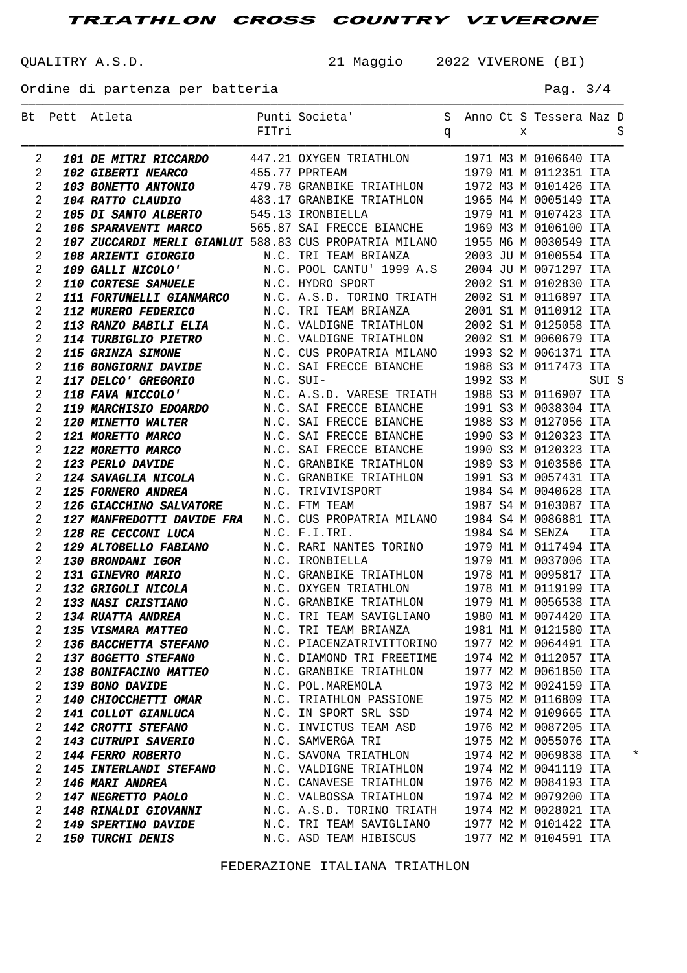QUALITRY A.S.D. 21 Maggio 2022 VIVERONE (BI)

───────────────────────────────────────────────────────────────────────────────────────

Ordine di partenza per batteria en el pago de la pag. 3/4

|                | Bt Pett Atleta                                                                                                                                                                                                                                           |                           |  |  |                       |       |          |
|----------------|----------------------------------------------------------------------------------------------------------------------------------------------------------------------------------------------------------------------------------------------------------|---------------------------|--|--|-----------------------|-------|----------|
|                |                                                                                                                                                                                                                                                          |                           |  |  |                       |       |          |
| 2              | <b>101 DE MITRI RICCARDO</b> 447.21 OXYGEN TRIATHLON 1971 M3 M 0106640 ITA<br><b>102 GIBERTI NEARCO</b> 455.77 PPRTEAM 1979 M1 M 0112351 ITA<br><b>103 BONETTO ANTONIO</b> 479.78 GRANBIKE TRIATHLON 1972 M3 M 0101426 ITA<br><b>104 RATTO CLAUDIO</b> 4 |                           |  |  |                       |       |          |
| 2              |                                                                                                                                                                                                                                                          |                           |  |  |                       |       |          |
| 2              |                                                                                                                                                                                                                                                          |                           |  |  |                       |       |          |
| 2              |                                                                                                                                                                                                                                                          |                           |  |  |                       |       |          |
| 2              |                                                                                                                                                                                                                                                          |                           |  |  |                       |       |          |
| 2              |                                                                                                                                                                                                                                                          |                           |  |  |                       |       |          |
| 2              | 107 ZUCCARDI MERLI GIANLUI 588.83 CUS PROPATRIA MILANO 1955 M6 M 0030549 ITA                                                                                                                                                                             |                           |  |  |                       |       |          |
| 2              |                                                                                                                                                                                                                                                          |                           |  |  |                       |       |          |
| 2              |                                                                                                                                                                                                                                                          |                           |  |  |                       |       |          |
| 2              |                                                                                                                                                                                                                                                          |                           |  |  |                       |       |          |
| 2              |                                                                                                                                                                                                                                                          |                           |  |  |                       |       |          |
| 2              |                                                                                                                                                                                                                                                          |                           |  |  |                       |       |          |
| 2              |                                                                                                                                                                                                                                                          |                           |  |  |                       |       |          |
| 2              |                                                                                                                                                                                                                                                          |                           |  |  |                       |       |          |
| 2              |                                                                                                                                                                                                                                                          |                           |  |  |                       |       |          |
| 2              |                                                                                                                                                                                                                                                          |                           |  |  |                       |       |          |
| 2              |                                                                                                                                                                                                                                                          |                           |  |  |                       | SUI S |          |
| 2              |                                                                                                                                                                                                                                                          |                           |  |  |                       |       |          |
| 2              |                                                                                                                                                                                                                                                          |                           |  |  |                       |       |          |
| 2              |                                                                                                                                                                                                                                                          |                           |  |  |                       |       |          |
| 2              |                                                                                                                                                                                                                                                          |                           |  |  |                       |       |          |
| 2              |                                                                                                                                                                                                                                                          |                           |  |  |                       |       |          |
| 2              | FOR MEASTER MARCHINE TANKLET SERIES IN A SUIT AN ANNEXANO 1955 M6 M 0030549 ITA<br>107 EUCARDI NERLI GIANILIT 588.83 CUS PROPATRIA MILANO 1955 M6 M 0030549 ITA<br>109 GAILIT NICONO N.C. FRI TEMM BRIANZA 2003 JU M 01071297 ITA<br>                    |                           |  |  |                       |       |          |
| 2              |                                                                                                                                                                                                                                                          |                           |  |  |                       |       |          |
| 2              |                                                                                                                                                                                                                                                          |                           |  |  |                       |       |          |
| 2              | 126 GIACCHINO SALVATORE<br>127 MANFREDOTTI DAVIDE FRA N.C. CUS PROPATRIA MILANO 1984 S4 M 0086881 ITA<br>128 RE CECCONI LUCA N.C. F.I.TRI. 1984 S4 M SENZA ITA<br>129 ALTOBELLO FABIANO N.C. RARI NANTES TORINO 1979 M1 M 0117494 IT                     |                           |  |  |                       |       |          |
| 2              |                                                                                                                                                                                                                                                          |                           |  |  |                       |       |          |
| 2              |                                                                                                                                                                                                                                                          |                           |  |  |                       |       |          |
| 2<br>2         |                                                                                                                                                                                                                                                          |                           |  |  |                       |       |          |
| 2              |                                                                                                                                                                                                                                                          |                           |  |  |                       |       |          |
| 2              |                                                                                                                                                                                                                                                          |                           |  |  |                       |       |          |
| 2              |                                                                                                                                                                                                                                                          |                           |  |  |                       |       |          |
| $\mathfrak{D}$ |                                                                                                                                                                                                                                                          |                           |  |  |                       |       |          |
| 2              | 135 VISMARA MATTEO                                                                                                                                                                                                                                       | N.C. TRI TEAM BRIANZA     |  |  | 1981 M1 M 0121580 ITA |       |          |
| 2              | <b>136 BACCHETTA STEFANO</b>                                                                                                                                                                                                                             | N.C. PIACENZATRIVITTORINO |  |  | 1977 M2 M 0064491 ITA |       |          |
| 2              | <b>137 BOGETTO STEFANO</b>                                                                                                                                                                                                                               | N.C. DIAMOND TRI FREETIME |  |  | 1974 M2 M 0112057 ITA |       |          |
| 2              | <b>138 BONIFACINO MATTEO</b>                                                                                                                                                                                                                             | N.C. GRANBIKE TRIATHLON   |  |  | 1977 M2 M 0061850 ITA |       |          |
| 2              | 139 BONO DAVIDE                                                                                                                                                                                                                                          | N.C. POL.MAREMOLA         |  |  | 1973 M2 M 0024159 ITA |       |          |
| 2              | <b>140 CHIOCCHETTI OMAR</b>                                                                                                                                                                                                                              | N.C. TRIATHLON PASSIONE   |  |  | 1975 M2 M 0116809 ITA |       |          |
| 2              | 141 COLLOT GIANLUCA                                                                                                                                                                                                                                      | N.C. IN SPORT SRL SSD     |  |  | 1974 M2 M 0109665 ITA |       |          |
| 2              | <b>142 CROTTI STEFANO</b>                                                                                                                                                                                                                                | N.C. INVICTUS TEAM ASD    |  |  | 1976 M2 M 0087205 ITA |       |          |
| 2              | <b>143 CUTRUPI SAVERIO</b>                                                                                                                                                                                                                               | N.C. SAMVERGA TRI         |  |  | 1975 M2 M 0055076 ITA |       |          |
| 2              | <b>144 FERRO ROBERTO</b>                                                                                                                                                                                                                                 | N.C. SAVONA TRIATHLON     |  |  | 1974 M2 M 0069838 ITA |       | $^\star$ |
| 2              | <b>145 INTERLANDI STEFANO</b>                                                                                                                                                                                                                            | N.C. VALDIGNE TRIATHLON   |  |  | 1974 M2 M 0041119 ITA |       |          |
| 2              | 146 MARI ANDREA                                                                                                                                                                                                                                          | N.C. CANAVESE TRIATHLON   |  |  | 1976 M2 M 0084193 ITA |       |          |
| 2              | <b>147 NEGRETTO PAOLO</b>                                                                                                                                                                                                                                | N.C. VALBOSSA TRIATHLON   |  |  | 1974 M2 M 0079200 ITA |       |          |
| 2              | <b>148 RINALDI GIOVANNI</b>                                                                                                                                                                                                                              | N.C. A.S.D. TORINO TRIATH |  |  | 1974 M2 M 0028021 ITA |       |          |
| 2              | <b>149 SPERTINO DAVIDE</b>                                                                                                                                                                                                                               | N.C. TRI TEAM SAVIGLIANO  |  |  | 1977 M2 M 0101422 ITA |       |          |
| 2              | <b>150 TURCHI DENIS</b>                                                                                                                                                                                                                                  | N.C. ASD TEAM HIBISCUS    |  |  | 1977 M2 M 0104591 ITA |       |          |

FEDERAZIONE ITALIANA TRIATHLON